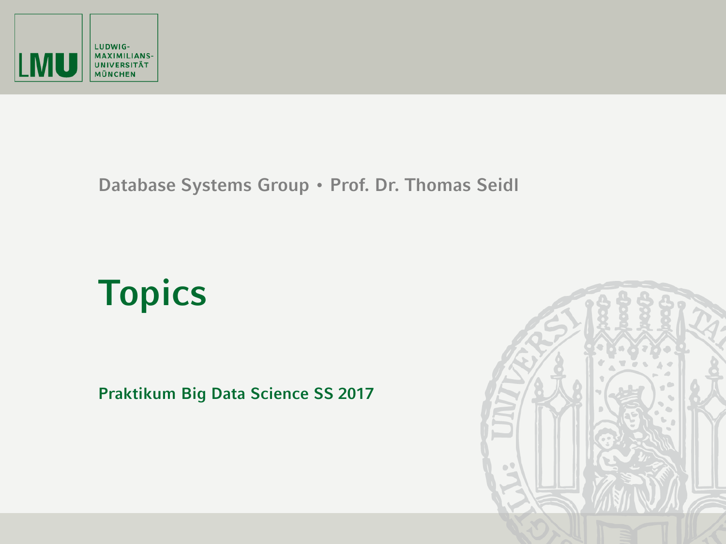

## **Database Systems Group • Prof. Dr. Thomas Seidl**

## **Topics**

**Praktikum Big Data Science SS 2017**

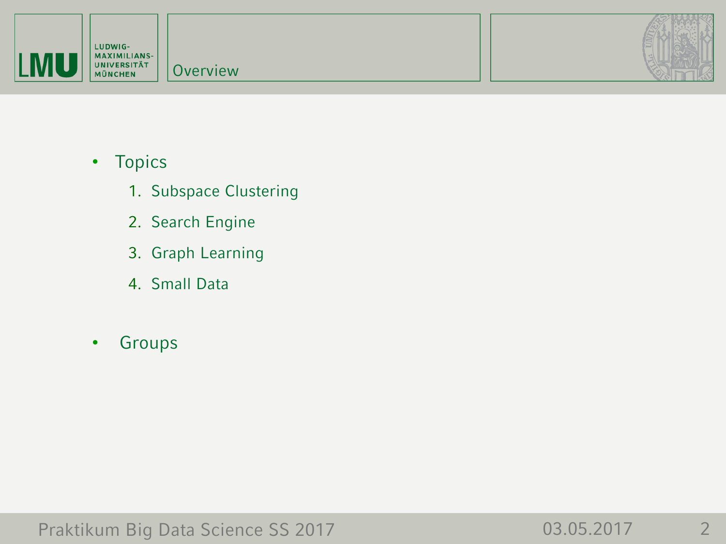

- Topics
	- 1. Subspace Clustering
	- 2. Search Engine
	- 3. Graph Learning
	- 4. Small Data
- Groups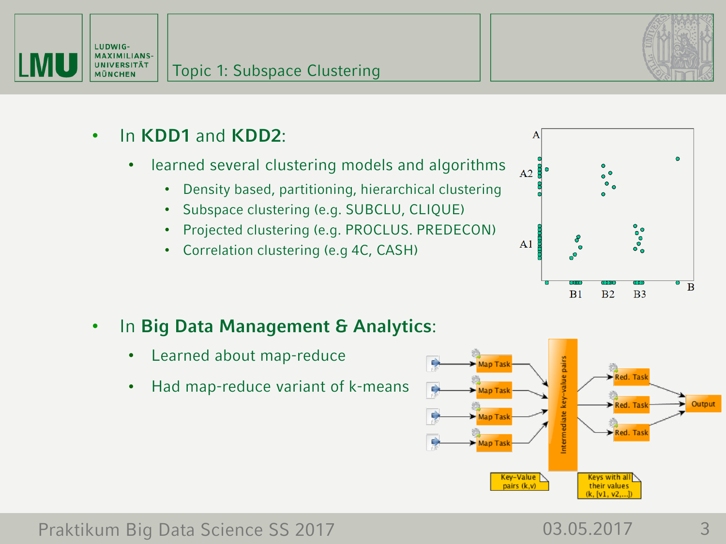



- In **KDD1** and **KDD2**:
	- learned several clustering models and algorithms
		- Density based, partitioning, hierarchical clustering
		- Subspace clustering (e.g. SUBCLU, CLIQUE)
		- Projected clustering (e.g. PROCLUS. PREDECON)
		- Correlation clustering (e.g 4C, CASH)



- In **Big Data Management & Analytics**:
	- Learned about map-reduce
	- Had map-reduce variant of k-means



## Praktikum Big Data Science SS 2017 103.05.2017 13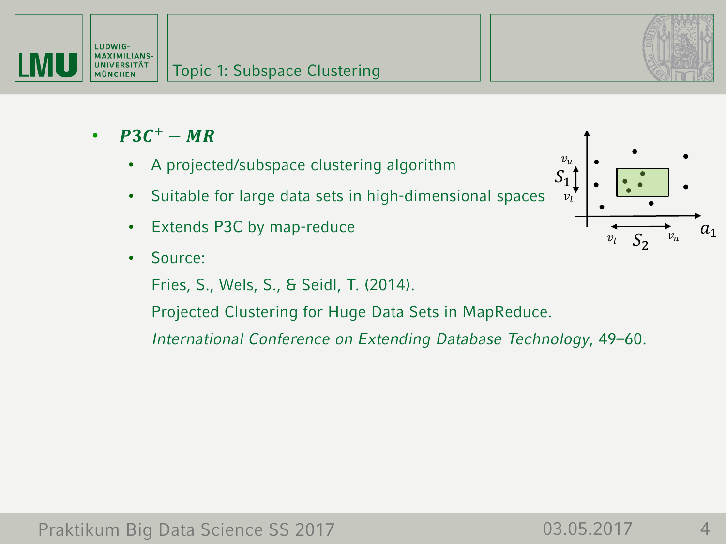



- $P3C^+ MR$ 
	- A projected/subspace clustering algorithm
	- Suitable for large data sets in high-dimensional spaces
	- Extends P3C by map-reduce
	- Source:
		- Fries, S., Wels, S., & Seidl, T. (2014).
		- Projected Clustering for Huge Data Sets in MapReduce.
		- *International Conference on Extending Database Technology*, 49–60.

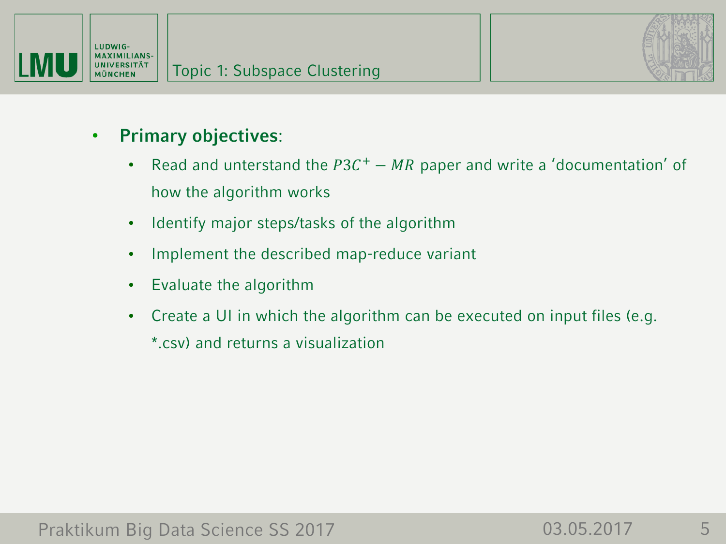



- **Primary objectives**:
	- Read and unterstand the  $P3C<sup>+</sup> MR$  paper and write a 'documentation' of how the algorithm works
	- Identify major steps/tasks of the algorithm
	- Implement the described map-reduce variant
	- Evaluate the algorithm
	- Create a UI in which the algorithm can be executed on input files (e.g. \*.csv) and returns a visualization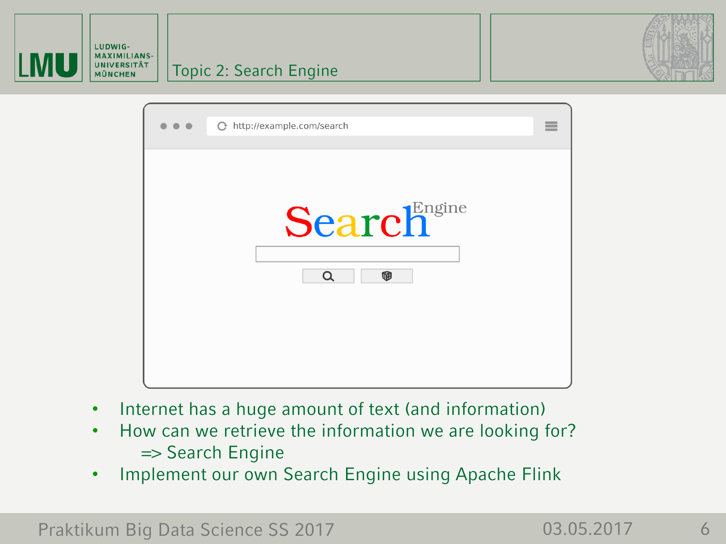



- Internet has a huge amount of text (and information)
- How can we retrieve the information we are looking for? => Search Engine
- Implement our own Search Engine using Apache Flink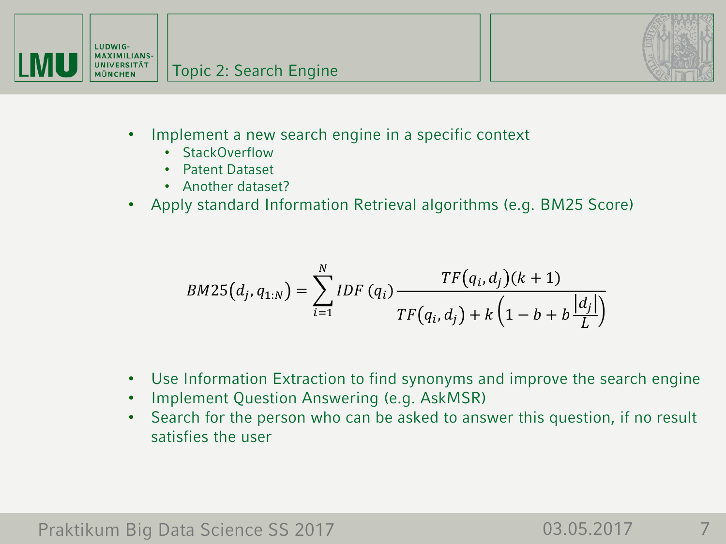



- Implement a new search engine in a specific context
	- StackOverflow
	- Patent Dataset
	- Another dataset?
- Apply standard Information Retrieval algorithms (e.g. BM25 Score)

$$
BM25(d_j, q_{1:N}) = \sum_{i=1}^{N} IDF(q_i) \frac{TF(q_i, d_j)(k+1)}{TF(q_i, d_j) + k(1 - b + b \frac{|d_j|}{L})}
$$

- Use Information Extraction to find synonyms and improve the search engine
- Implement Question Answering (e.g. AskMSR)
- Search for the person who can be asked to answer this question, if no result satisfies the user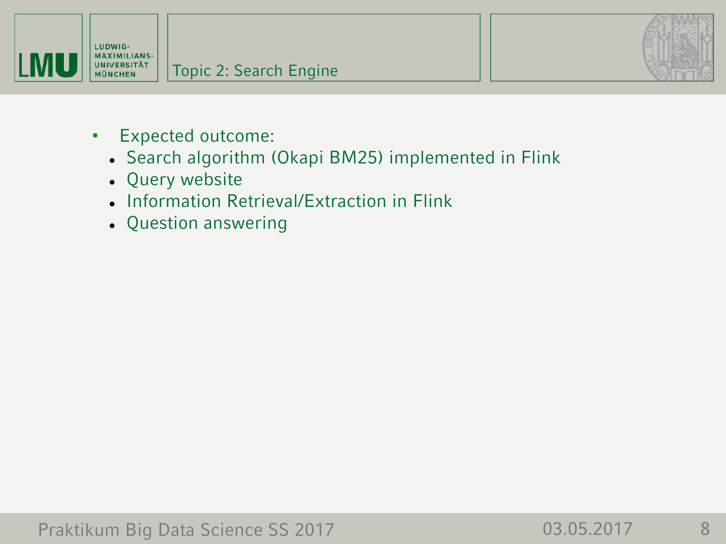



- Expected outcome:
	- Search algorithm (Okapi BM25) implemented in Flink
	- Query website
	- Information Retrieval/Extraction in Flink
	- Question answering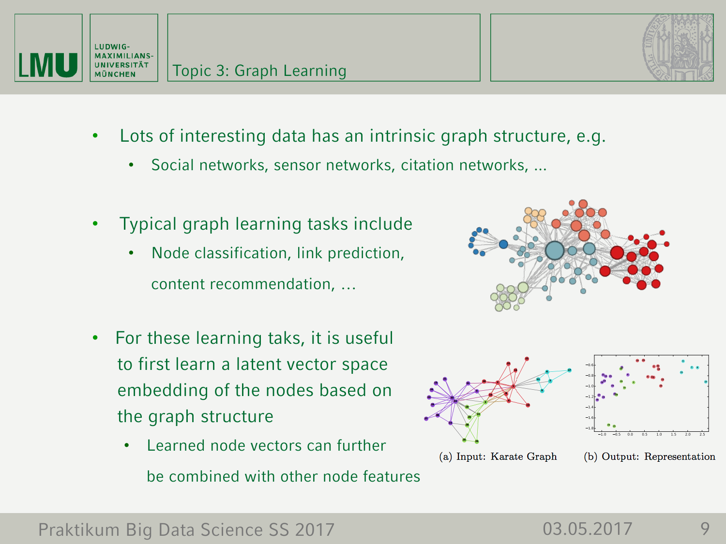



- Lots of interesting data has an intrinsic graph structure, e.g.
	- Social networks, sensor networks, citation networks, ...
- Typical graph learning tasks include
	- Node classification, link prediction, content recommendation, …
- For these learning taks, it is useful to first learn a latent vector space embedding of the nodes based on the graph structure
	- Learned node vectors can further be combined with other node features



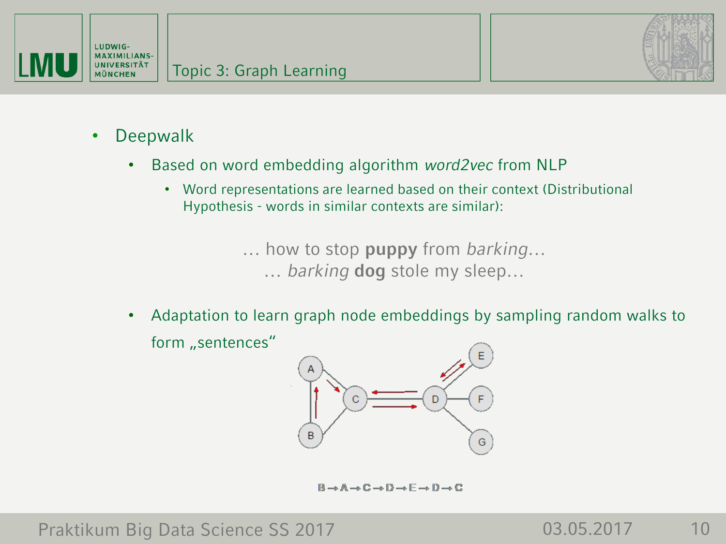



- Deepwalk
	- Based on word embedding algorithm *word2vec* from NLP
		- Word representations are learned based on their context (Distributional Hypothesis - words in similar contexts are similar):

… how to stop **puppy** from *barking*… … *barking* **dog** stole my sleep…

• Adaptation to learn graph node embeddings by sampling random walks to form "sentences"



 $B \rightarrow A \rightarrow C \rightarrow D \rightarrow F \rightarrow D \rightarrow C$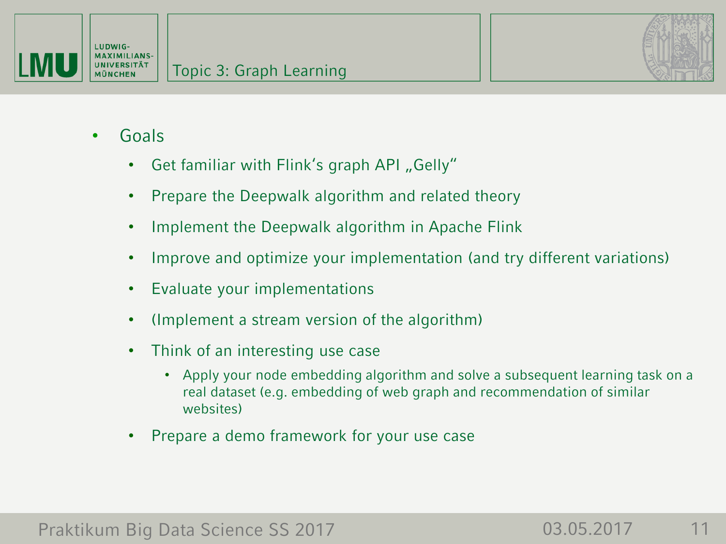



- Goals
	- Get familiar with Flink's graph API "Gelly"
	- Prepare the Deepwalk algorithm and related theory
	- Implement the Deepwalk algorithm in Apache Flink
	- Improve and optimize your implementation (and try different variations)
	- Evaluate your implementations
	- (Implement a stream version of the algorithm)
	- Think of an interesting use case
		- Apply your node embedding algorithm and solve a subsequent learning task on a real dataset (e.g. embedding of web graph and recommendation of similar websites)
	- Prepare a demo framework for your use case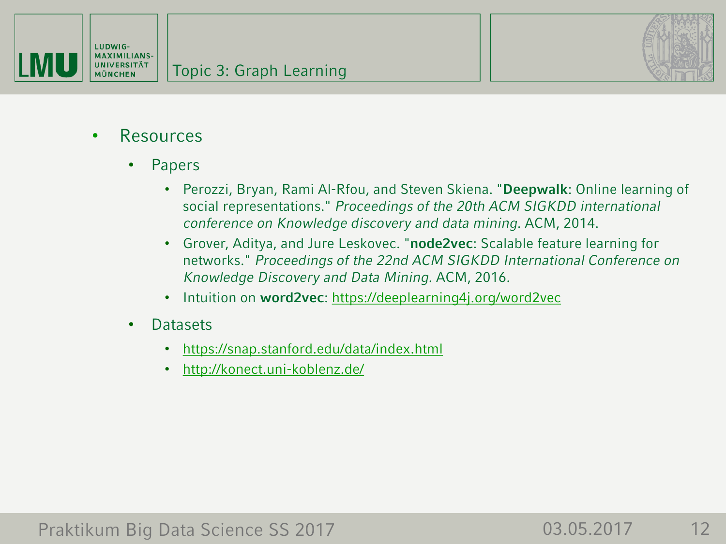



- Resources
	- Papers
		- Perozzi, Bryan, Rami Al-Rfou, and Steven Skiena. "**Deepwalk**: Online learning of social representations." *Proceedings of the 20th ACM SIGKDD international conference on Knowledge discovery and data mining*. ACM, 2014.
		- Grover, Aditya, and Jure Leskovec. "**node2vec**: Scalable feature learning for networks." *Proceedings of the 22nd ACM SIGKDD International Conference on Knowledge Discovery and Data Mining*. ACM, 2016.
		- Intuition on **word2vec**:<https://deeplearning4j.org/word2vec>
	- Datasets
		- <https://snap.stanford.edu/data/index.html>
		- <http://konect.uni-koblenz.de/>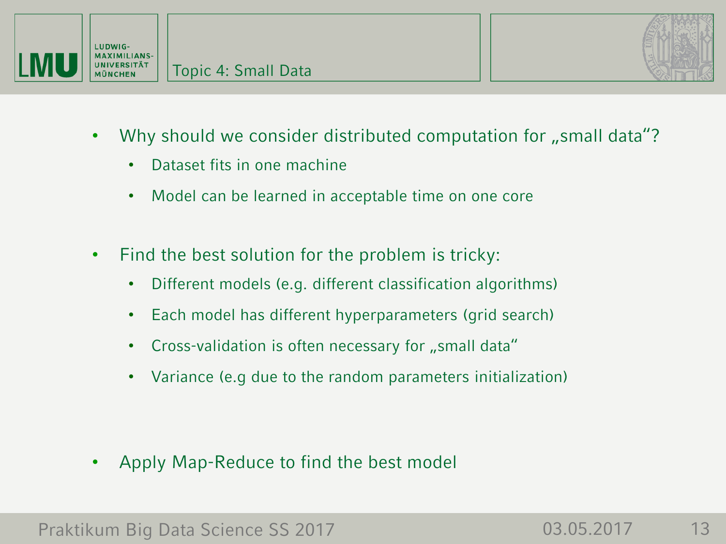

- Why should we consider distributed computation for "small data"?
	- Dataset fits in one machine
	- Model can be learned in acceptable time on one core
- Find the best solution for the problem is tricky:
	- Different models (e.g. different classification algorithms)
	- Each model has different hyperparameters (grid search)
	- Cross-validation is often necessary for "small data"
	- Variance (e.g due to the random parameters initialization)

• Apply Map-Reduce to find the best model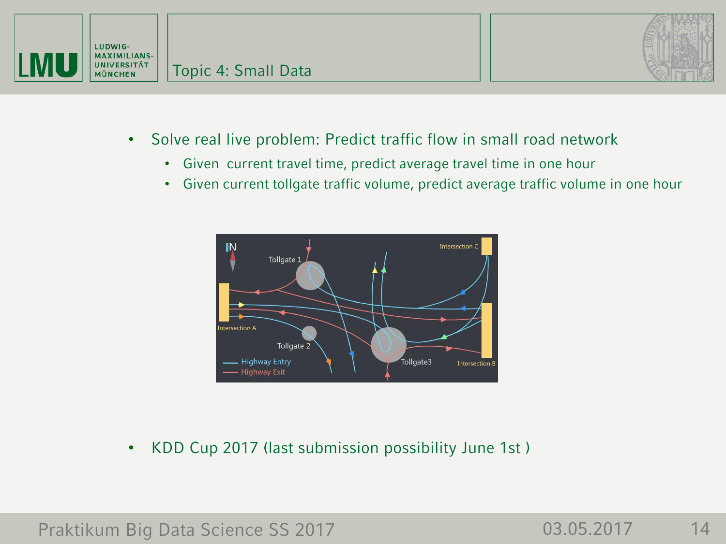



- Solve real live problem: Predict traffic flow in small road network
	- Given current travel time, predict average travel time in one hour
	- Given current tollgate traffic volume, predict average traffic volume in one hour



• KDD Cup 2017 (last submission possibility June 1st )